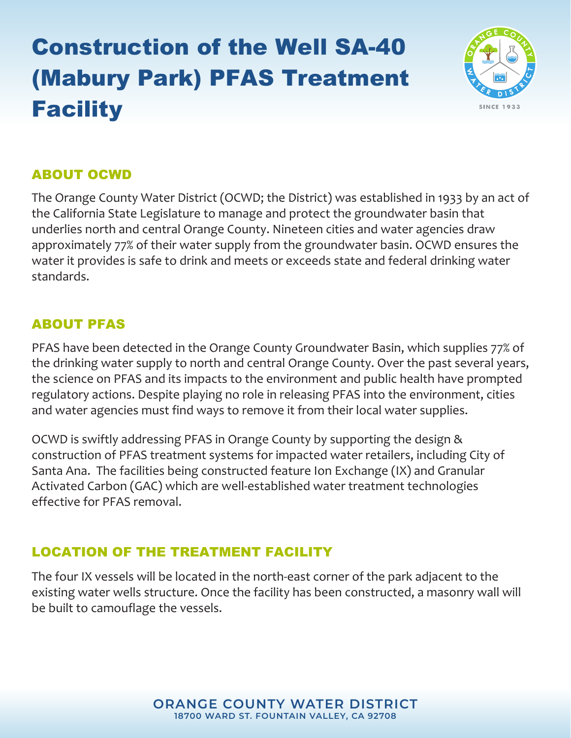# Construction of the Well SA-40 (Mabury Park) PFAS Treatment **Facility**



## ABOUT OCWD

The Orange County Water District (OCWD; the District) was established in 1933 by an act of the California State Legislature to manage and protect the groundwater basin that underlies north and central Orange County. Nineteen cities and water agencies draw approximately 77% of their water supply from the groundwater basin. OCWD ensures the water it provides is safe to drink and meets or exceeds state and federal drinking water standards.

## ABOUT PFAS

PFAS have been detected in the Orange County Groundwater Basin, which supplies 77% of the drinking water supply to north and central Orange County. Over the past several years, the science on PFAS and its impacts to the environment and public health have prompted regulatory actions. Despite playing no role in releasing PFAS into the environment, cities and water agencies must find ways to remove it from their local water supplies.

OCWD is swiftly addressing PFAS in Orange County by supporting the design & construction of PFAS treatment systems for impacted water retailers, including City of Santa Ana. The facilities being constructed feature Ion Exchange (IX) and Granular Activated Carbon (GAC) which are well-established water treatment technologies effective for PFAS removal.

# LOCATION OF THE TREATMENT FACILITY

The four IX vessels will be located in the north-east corner of the park adjacent to the existing water wells structure. Once the facility has been constructed, a masonry wall will be built to camouflage the vessels.